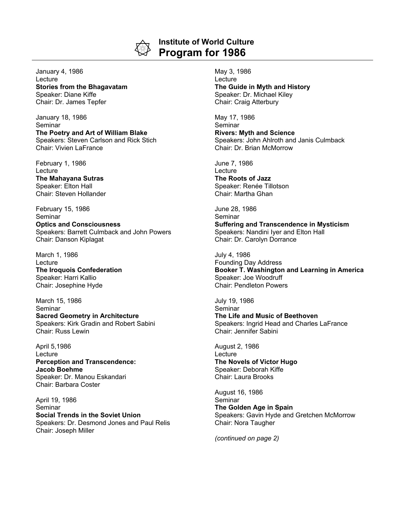

## **Institute of World Culture Program for 1986**

January 4, 1986 **Lecture Stories from the Bhagavatam** Speaker: Diane Kiffe Chair: Dr. James Tepfer

January 18, 1986 Seminar **The Poetry and Art of William Blake** Speakers: Steven Carlson and Rick Stich Chair: Vivien LaFrance

February 1, 1986 **Lecture The Mahayana Sutras** Speaker: Elton Hall Chair: Steven Hollander

February 15, 1986 **Seminar Optics and Consciousness** Speakers: Barrett Culmback and John Powers Chair: Danson Kiplagat

March 1, 1986 Lecture **The Iroquois Confederation** Speaker: Harri Kallio Chair: Josephine Hyde

March 15, 1986 Seminar **Sacred Geometry in Architecture** Speakers: Kirk Gradin and Robert Sabini Chair: Russ Lewin

April 5,1986 Lecture **Perception and Transcendence: Jacob Boehme** Speaker: Dr. Manou Eskandari Chair: Barbara Coster

April 19, 1986 Seminar **Social Trends in the Soviet Union** Speakers: Dr. Desmond Jones and Paul Relis Chair: Joseph Miller

May 3, 1986 Lecture **The Guide in Myth and History** Speaker: Dr. Michael Kiley Chair: Craig Atterbury

May 17, 1986 **Seminar Rivers: Myth and Science** Speakers: John Ahlroth and Janis Culmback Chair: Dr. Brian McMorrow

June 7, 1986 **Lecture The Roots of Jazz** Speaker: Renée Tillotson Chair: Martha Ghan

June 28, 1986 **Seminar Suffering and Transcendence in Mysticism** Speakers: Nandini Iyer and Elton Hall Chair: Dr. Carolyn Dorrance

July 4, 1986 Founding Day Address **Booker T. Washington and Learning in America** Speaker: Joe Woodruff Chair: Pendleton Powers

July 19, 1986 Seminar **The Life and Music of Beethoven** Speakers: Ingrid Head and Charles LaFrance Chair: Jennifer Sabini

August 2, 1986 **Lecture The Novels of Victor Hugo** Speaker: Deborah Kiffe Chair: Laura Brooks

August 16, 1986 Seminar **The Golden Age in Spain** Speakers: Gavin Hyde and Gretchen McMorrow Chair: Nora Taugher

*(continued on page 2)*